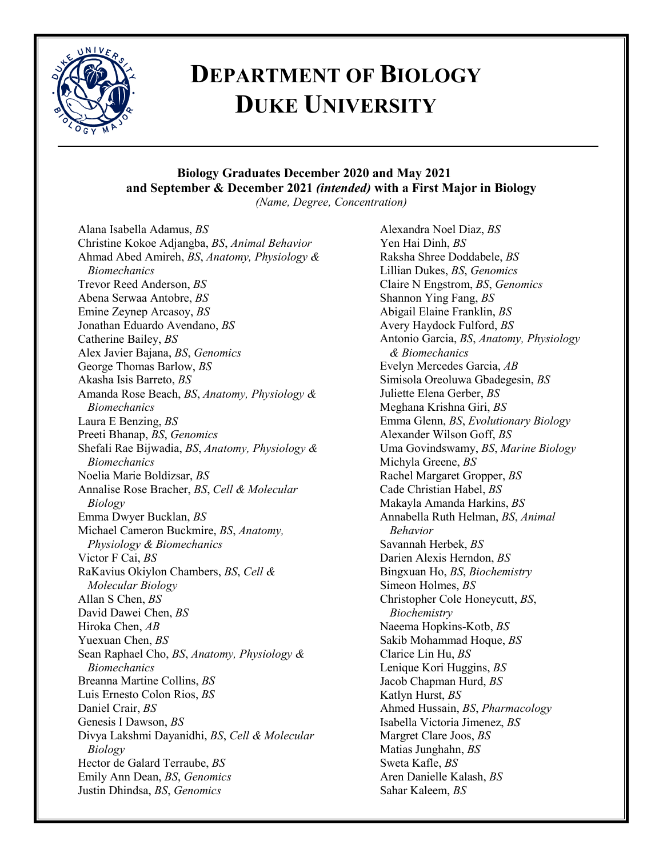

# **DEPARTMENT OF BIOLOGY DUKE UNIVERSITY**

### **Biology Graduates December 2020 and May 2021 and September & December 2021** *(intended)* **with a First Major in Biology**

*(Name, Degree, Concentration)*

Alana Isabella Adamus, *BS* Christine Kokoe Adjangba, *BS*, *Animal Behavior* Ahmad Abed Amireh, *BS*, *Anatomy, Physiology & Biomechanics* Trevor Reed Anderson, *BS* Abena Serwaa Antobre, *BS* Emine Zeynep Arcasoy, *BS* Jonathan Eduardo Avendano, *BS* Catherine Bailey, *BS* Alex Javier Bajana, *BS*, *Genomics* George Thomas Barlow, *BS* Akasha Isis Barreto, *BS* Amanda Rose Beach, *BS*, *Anatomy, Physiology & Biomechanics* Laura E Benzing, *BS* Preeti Bhanap, *BS*, *Genomics* Shefali Rae Bijwadia, *BS*, *Anatomy, Physiology & Biomechanics* Noelia Marie Boldizsar, *BS* Annalise Rose Bracher, *BS*, *Cell & Molecular Biology* Emma Dwyer Bucklan, *BS* Michael Cameron Buckmire, *BS*, *Anatomy, Physiology & Biomechanics* Victor F Cai, *BS* RaKavius Okiylon Chambers, *BS*, *Cell & Molecular Biology* Allan S Chen, *BS* David Dawei Chen, *BS* Hiroka Chen, *AB* Yuexuan Chen, *BS* Sean Raphael Cho, *BS*, *Anatomy, Physiology & Biomechanics* Breanna Martine Collins, *BS* Luis Ernesto Colon Rios, *BS* Daniel Crair, *BS* Genesis I Dawson, *BS* Divya Lakshmi Dayanidhi, *BS*, *Cell & Molecular Biology* Hector de Galard Terraube, *BS* Emily Ann Dean, *BS*, *Genomics* Justin Dhindsa, *BS*, *Genomics*

Alexandra Noel Diaz, *BS* Yen Hai Dinh, *BS* Raksha Shree Doddabele, *BS* Lillian Dukes, *BS*, *Genomics* Claire N Engstrom, *BS*, *Genomics* Shannon Ying Fang, *BS* Abigail Elaine Franklin, *BS* Avery Haydock Fulford, *BS* Antonio Garcia, *BS*, *Anatomy, Physiology & Biomechanics* Evelyn Mercedes Garcia, *AB* Simisola Oreoluwa Gbadegesin, *BS* Juliette Elena Gerber, *BS* Meghana Krishna Giri, *BS* Emma Glenn, *BS*, *Evolutionary Biology* Alexander Wilson Goff, *BS* Uma Govindswamy, *BS*, *Marine Biology* Michyla Greene, *BS* Rachel Margaret Gropper, *BS* Cade Christian Habel, *BS* Makayla Amanda Harkins, *BS* Annabella Ruth Helman, *BS*, *Animal Behavior* Savannah Herbek, *BS* Darien Alexis Herndon, *BS* Bingxuan Ho, *BS*, *Biochemistry* Simeon Holmes, *BS* Christopher Cole Honeycutt, *BS*, *Biochemistry* Naeema Hopkins-Kotb, *BS* Sakib Mohammad Hoque, *BS* Clarice Lin Hu, *BS* Lenique Kori Huggins, *BS* Jacob Chapman Hurd, *BS* Katlyn Hurst, *BS* Ahmed Hussain, *BS*, *Pharmacology* Isabella Victoria Jimenez, *BS* Margret Clare Joos, *BS* Matias Junghahn, *BS* Sweta Kafle, *BS* Aren Danielle Kalash, *BS* Sahar Kaleem, *BS*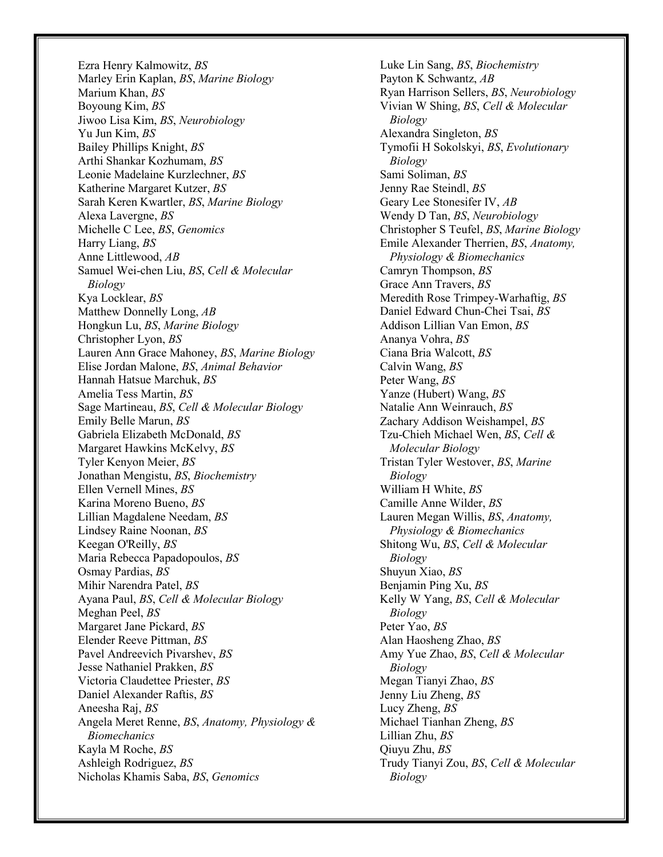Ezra Henry Kalmowitz, *BS* Marley Erin Kaplan, *BS*, *Marine Biology* Marium Khan, *BS* Boyoung Kim, *BS* Jiwoo Lisa Kim, *BS*, *Neurobiology* Yu Jun Kim, *BS* Bailey Phillips Knight, *BS* Arthi Shankar Kozhumam, *BS* Leonie Madelaine Kurzlechner, *BS* Katherine Margaret Kutzer, *BS* Sarah Keren Kwartler, *BS*, *Marine Biology* Alexa Lavergne, *BS* Michelle C Lee, *BS*, *Genomics* Harry Liang, *BS* Anne Littlewood, *AB* Samuel Wei-chen Liu, *BS*, *Cell & Molecular Biology* Kya Locklear, *BS* Matthew Donnelly Long, *AB* Hongkun Lu, *BS*, *Marine Biology* Christopher Lyon, *BS* Lauren Ann Grace Mahoney, *BS*, *Marine Biology* Elise Jordan Malone, *BS*, *Animal Behavior* Hannah Hatsue Marchuk, *BS* Amelia Tess Martin, *BS* Sage Martineau, *BS*, *Cell & Molecular Biology* Emily Belle Marun, *BS* Gabriela Elizabeth McDonald, *BS* Margaret Hawkins McKelvy, *BS* Tyler Kenyon Meier, *BS* Jonathan Mengistu, *BS*, *Biochemistry* Ellen Vernell Mines, *BS* Karina Moreno Bueno, *BS* Lillian Magdalene Needam, *BS* Lindsey Raine Noonan, *BS* Keegan O'Reilly, *BS* Maria Rebecca Papadopoulos, *BS* Osmay Pardias, *BS* Mihir Narendra Patel, *BS* Ayana Paul, *BS*, *Cell & Molecular Biology* Meghan Peel, *BS* Margaret Jane Pickard, *BS* Elender Reeve Pittman, *BS* Pavel Andreevich Pivarshev, *BS* Jesse Nathaniel Prakken, *BS* Victoria Claudettee Priester, *BS* Daniel Alexander Raftis, *BS* Aneesha Raj, *BS* Angela Meret Renne, *BS*, *Anatomy, Physiology & Biomechanics* Kayla M Roche, *BS* Ashleigh Rodriguez, *BS* Nicholas Khamis Saba, *BS*, *Genomics*

Luke Lin Sang, *BS*, *Biochemistry* Payton K Schwantz, *AB* Ryan Harrison Sellers, *BS*, *Neurobiology* Vivian W Shing, *BS*, *Cell & Molecular Biology* Alexandra Singleton, *BS* Tymofii H Sokolskyi, *BS*, *Evolutionary Biology* Sami Soliman, *BS* Jenny Rae Steindl, *BS* Geary Lee Stonesifer IV, *AB* Wendy D Tan, *BS*, *Neurobiology* Christopher S Teufel, *BS*, *Marine Biology* Emile Alexander Therrien, *BS*, *Anatomy, Physiology & Biomechanics* Camryn Thompson, *BS* Grace Ann Travers, *BS* Meredith Rose Trimpey-Warhaftig, *BS* Daniel Edward Chun-Chei Tsai, *BS* Addison Lillian Van Emon, *BS* Ananya Vohra, *BS* Ciana Bria Walcott, *BS* Calvin Wang, *BS* Peter Wang, *BS* Yanze (Hubert) Wang, *BS* Natalie Ann Weinrauch, *BS* Zachary Addison Weishampel, *BS* Tzu-Chieh Michael Wen, *BS*, *Cell & Molecular Biology* Tristan Tyler Westover, *BS*, *Marine Biology* William H White, *BS* Camille Anne Wilder, *BS* Lauren Megan Willis, *BS*, *Anatomy, Physiology & Biomechanics* Shitong Wu, *BS*, *Cell & Molecular Biology* Shuyun Xiao, *BS* Benjamin Ping Xu, *BS* Kelly W Yang, *BS*, *Cell & Molecular Biology* Peter Yao, *BS* Alan Haosheng Zhao, *BS* Amy Yue Zhao, *BS*, *Cell & Molecular Biology* Megan Tianyi Zhao, *BS* Jenny Liu Zheng, *BS* Lucy Zheng, *BS* Michael Tianhan Zheng, *BS* Lillian Zhu, *BS* Qiuyu Zhu, *BS* Trudy Tianyi Zou, *BS*, *Cell & Molecular Biology*